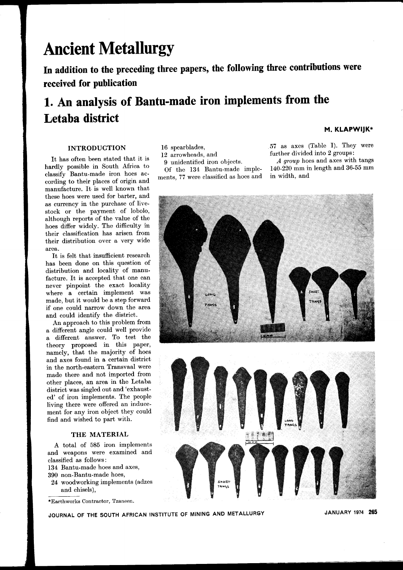# **Ancient Metallurgy**

**In addition to the preceding three papers, the following three contributions were received for publication**

# **1. An analysis of Bantu-made iron implements from the Letaba district**

## **INTRODUCTION**

It has often been stated that it is hardly possible in South Africa to classify Bantu-made iron hoes according to their places of origin and manufacture. It is well known that these hoes were used for barter, and as currency in the purchase of livestock or the payment of lobolo, although reports of the value of the hoes differ widely. The difficulty in their classification has arisen from their distribution over a very wide area.

It is felt that insufficient research has been done on this question of distribution and locality of manufacture. It is accepted that one can never pinpoint the exact locality where a certain implement was made, but it would be a step forward if one could narrow down the area and could identify the district.

An approach to this problem from a different angle could well provide a different answer. To test the theory proposed in this paper, namely, that the majority of hoes and axes found in a certain district in the north-eastern Transvaal were made there and not imported from other places, an area in the Letaba district was singled out and 'exhausted' of iron implements. The people living there were offered an inducement for any iron object they could find and wished to part with.

## **THE MATERIAL**

A total of 585 iron implements and weapons were examined and classified as follows:

- 134 Bantu-made hoes and axes,
- 390 non-Bantu-made hoes,
- 24 woodworking implements (adzes and chisels),

\*Earthworks Contractor, Tzaneen.

- 16 spearblades,
- 12 arrowheads, and
- 9 unidentified iron objects.

Of the 134 Bantu-made implements, 77 were classified as hoes and

#### **M. KLAPWIJK\***

57 as axes (Table I). They were further divided into 2 groups:

*A group* hoes and axes with tangs 140-220 mm in length and 36-55 mm in width, and



**JOURNAL OF THE SOUTH AFRICAN INSTITUTE OF MINING AND METALLURGY JANUARY <sup>1974</sup> 265**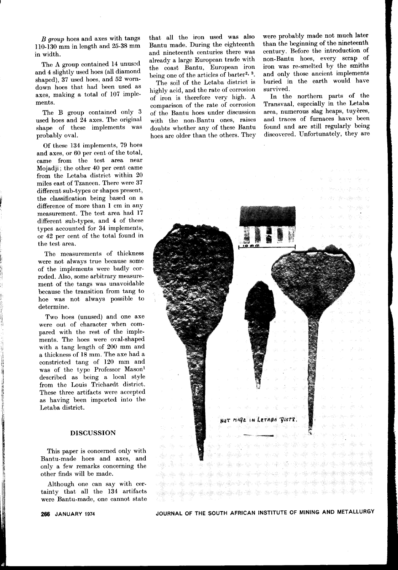*B group* hoes and axes with tangs 110-130 mm in length and 25-38 mm in width.

The A group contained 14 unussd and 4 slightly used hoes (all diamond shaped), 37 used hoes, and 52 worndown hoes that had been used as axes, making a total of 107 implements.

The B group contained only 3 used hoes and 24 axes. The original shape of these implements was probably oval.

Of these 134 implements, 79 hoes and axes, or 60 per cent of the total, came from the test area near Mojadji; the other 40 per cent came from the Letaba district within 20 miles east of Tzaneen. There were 37 different sub-types or shapes present, the classification being based on a difference of more than 1 cm in any measurement. The test area had 17 different sub-types, and 4 of these types accounted for 34 implements, or 42 per cent of the total found in the test area.

The measurements of thickness were not always true because some of the implements were badly corroded. Also, some arbitrary measurement of the tangs was unavoidable because the transition from tang to hoe was not always possible to determine.

Two hoes (unused) and one axe were out of character when compared with the rest of the implements. The hoes were oval-shaped with a tang length of 200 mm and a thickness of 18 mm. The axe had a constricted tang of 120 mm and was of the type Professor Mason<sup>1</sup> described as being a local style from the Louis Trichardt district. These three artifacts were accepted as having been imported into the Letaba district.

# DISCUSSION

This paper is concerned only with Bantu-made hoes and axes, and only a few remarks concerning the other finds will be made.

Although one can say with certainty that all the 134 artifacts were Bantu-made, one cannot state

that all the iron used was also Bantu made. During the eighteenth and nineteenth centuries there was already a large European trade with the coast Bantu, European iron being one of the articles of barter<sup>2, 3</sup>.

The soil of the Letaba district is highly acid, and the rate of corrosion of iron is therefore very high. A comparison of the rate of corrosion of the Bantu hoes under discussion with the non-Bantu ones, raises doubts whether any of these Bantu hoes are older than the others. They were probably made not much later than the beginning of the nineteenth century. Before the introduction of non-Bantu hoes, every scrap of iron was re-smelted by the smiths and only those ancient implements buried in the earth would have survived.

In the northern parts of the Transvaal, especially in the Letaba area, numerous slag heaps, tuyères, and traces of furnaces have been found and are still regularly being discovered. Unfortunately, they are

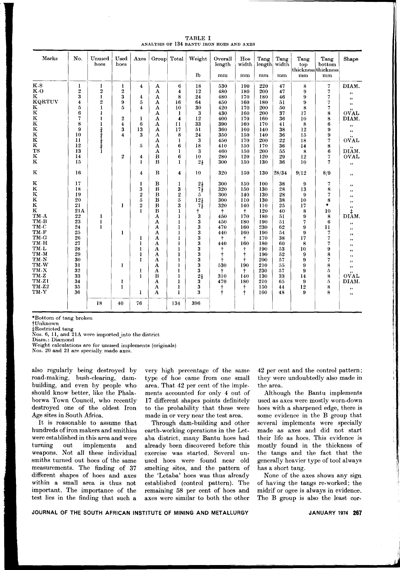| TABLE I<br>ANALYSIS OF 134 BANTU IRON HOES AND AXES |                  |                |                              |                |                         |                         |                 |                   |              |                |               |                                    |                |
|-----------------------------------------------------|------------------|----------------|------------------------------|----------------|-------------------------|-------------------------|-----------------|-------------------|--------------|----------------|---------------|------------------------------------|----------------|
| Marks                                               | No.              | Unused<br>hoes | Used<br>hoes                 | Axes           |                         | Group Total             | Weight          | Overall<br>length | Hoe<br>width | Tang<br>length | Tang<br>width | Tang<br>top<br>thickness thickness | Tang<br>bottom |
|                                                     |                  |                |                              |                |                         |                         | <b>lb</b>       | mm                | mm           | mm             | mm            | mm                                 | mm             |
| $K-S$                                               | 1                | 1              | ı                            | 4              | A                       | 6                       | 18              | 530               | 190          | 220            | 47            | 8                                  | 7              |
| K-O                                                 | $\boldsymbol{2}$ | $\overline{2}$ | 2                            |                | A                       | $\overline{\mathbf{4}}$ | 12              | 480               | 180          | 200            | 47            | 9                                  | 7              |
| $\mathbf K$                                         | 3                | $\mathbf{I}$   | 3                            | 4              | A                       | 8                       | 24              | 480               | 170          | 180            | 46            | 9                                  | 7              |
| <b>KQRTUV</b>                                       | 4                | $\overline{2}$ | 9                            | 5              | A                       | 16                      | 64              | 450               | 160          | 180            | 51            | 9                                  | 7              |
| K                                                   | 5                | $\bf{l}$       | 5                            | 4              | A                       | 10                      | 30              | 420               | 170          | 200            | 50            | 8                                  | 7              |
| $\overline{\mathbf{K}}$                             | 6                |                |                              |                | A                       | 1                       | 3               | 430               | 160          | 200            | 37            | 17                                 | 8              |
|                                                     | 7                |                | 2                            | ı              | A                       | $\overline{\mathbf{4}}$ | 12              | 400               | 170          | 160            | 36            | 10                                 | $\frac{8}{6}$  |
| K<br>K<br>K                                         | 8<br>9           | I              | 4                            | 6              | A                       | $\mathbf{1}$            | 33              | 390               | 160          | 170            | 41            | 8                                  |                |
| $\overline{\mathbf{K}}$                             | 10               |                | 3<br>$\overline{\mathbf{4}}$ | 13<br>3        | A<br>А                  | 17                      | 51<br>24        | 360<br>350        | 160<br>150   | 140<br>140     | 38<br>36      | 12<br>15                           | 9              |
| $\overline{\mathbf{K}}$                             | $\mathbf{11}$    | うすうすうする        |                              |                | A                       | 8<br>$\bf{l}$           | 3               | 450               | 170          | 200            | 22            | 18                                 | 9<br>7         |
| $\overline{\mathbf{K}}$                             | 12               |                |                              | 5              | A                       | 6                       | 18              | 410               | 150          | 170            | 36            | 14                                 | 8              |
| $_{\rm TS}$                                         | 13               |                |                              |                | A                       | $\mathbf{I}$            | 3               | 460               | 150          | 200            | 55            | 8                                  | 6              |
| K                                                   | 14               |                | $\overline{2}$               | 4              | B                       | 6                       | 10              | 280               | 120          | 120            | 29            | 12                                 | 7              |
| $\mathbf K$                                         | 15               |                |                              | 1              | B                       | $\bf{l}$                | $2\frac{1}{2}$  | 300               | 150          | 130            | 36            | 10                                 | 7              |
| $\mathbf K$                                         | 16               |                |                              | 4              | B                       | 4                       | 10              | 320               | 150          | 130            | 28/34         | 9/12                               | 8/9            |
| K                                                   | 17               |                |                              | 1              | $\bf{B}$                | 1                       | $2\frac{1}{2}$  | 300               | 150          | 100            | 38            | 9                                  | 7              |
| $\bf K$                                             | 18               |                |                              | 3              | $\bf{B}$                | 3                       | 7į              | 320               | 150          | 130            | 28            | 13                                 | 8              |
| $\frac{\text{K}}{\text{K}}$                         | 19               |                |                              | $\overline{2}$ | $\bf{B}$                | $\boldsymbol{2}$        | 5.              | 300               | 140          | 130            | 28            | 9                                  | 7              |
|                                                     | 20               |                |                              | 5              | B                       | 5                       | $12\frac{1}{2}$ | 300               | 110          | 130            | 38            | 10                                 | 8              |
| $\bf K$                                             | 21               |                | 1                            | $\overline{2}$ | $\bf{B}$                | 3                       | 74              | 320               | 140          | 110            | 25            | 17                                 | $\bullet$      |
| $\mathbf K$                                         | 21A              |                |                              | $\mathbf{I}$   | $\bf{B}$                | 1                       | ÷               | t                 | t            | 120            | 40            | 8                                  | 10             |
| TM-A                                                | $^{22}$          | 1              |                              |                | $\overline{\mathbf{A}}$ | $\mathbf{l}$            | 3               | 450               | 170          | 180            | 51            | 9                                  | 8              |
| TM-B                                                | 23               |                |                              |                | A                       | 1                       | 3               | 450               | 180          | 190            | 51            | 7                                  | 6              |
| TM C<br>TM-F                                        | 24               | 1              |                              |                | A                       | 1                       | 3               | 470               | 160          | 230            | 62            | 9                                  | $\mathbf{1}$   |
|                                                     | 25               |                | 1                            |                | A                       |                         | 3               | 440               | 160          | 190            | 54            | 9                                  | 7              |
| TM G                                                | 26               |                |                              | 1              | A                       | 1                       | 3               | ŧ                 | t            | 170            | 38            | 17                                 | 7              |

 $\bf{3}$ 

 $\frac{3}{3}$ 

 $\overline{\mathbf{3}}$ 

 $\overline{\mathbf{3}}$ 

 $\overline{\mathbf{3}}$ 

3

 $\overline{\mathbf{3}}$ 

3

396

 $2\frac{1}{2}$ 

Ŧ

 $\mathbf{I}$ 

 $\bf{l}$ 

 $\mathbf{I}$ 

 $\mathbf{I}$ 

 $\mathbf{I}$ 

 $\mathbf{I}$ 

 $\mathbf{I}$ 

 $\frac{1}{1}$ 

134

440

 $\ddot{\tau}$ 

530

+

 $310$ 

470

 $\ddagger$ 

160

†<br>†

190

140

180

 $^\dagger$ 

 $\frac{1}{1}$ 

180

190

190

200

210

230

130

210

150

160

60

53

52

 $5\overline{7}$ 

55

57

33

65

44

48

 $\bf8$ 

 $\boldsymbol{9}$ 

 $\dot{9}$ 

 $\overline{9}$ 

9

 $14$ 

 $\mathbf{Q}$ 

 $12$ 

 $\mathbf{Q}$ 

10

A

 $\mathbf{A}$ 

 $\overline{\mathbf{A}}$ 

 $\overline{\mathbf{A}}$ 

 $\overline{\mathbf{A}}$ 

 $\overline{\mathbf{A}}$ 

 $\overline{B}$ 

 $\overline{A}$ 

 $\overline{A}$ 

 $\overline{A}$ 

 $\mathbf{I}$ 

 $\mathbf{I}$ 

 $\overline{1}$ 

 $\mathbf{I}$ 

Ĭ

 $\mathbf{I}$ 

76

 $\mathbf{I}$ 

 $\mathbf{I}$ 

î

40

\*Bottom of tang broken

†Unknown

TM-H

TM-L

TM-M

TM-N

TM-W

TM-X

 $TM-Z$ 

TM-ZI

 $TM-Z2$ 

TM-Y

processed tang<br>Nos. 6, 11, and 21A were imported into the district

 $18$ 

Diam.: Diamond

Weight calculations are for unused implements (originals)

Nos. 20 and 21 are specially made axes.

27

28

29

30

 $\overline{31}$ 

32

33

34

35

36

also regularly being destroved by road-making, bush-clearing, dambuilding, and even by people who should know better, like the Phalaborwa Town Council, who recently destroyed one of the oldest Iron Age sites in South Africa.

It is reasonable to assume that hundreds of iron makers and smithies were established in this area and were out implements turning and weapons. Not all these individual smiths turned out hoes of the same measurements. The finding of 37 different shapes of hoes and axes within a small area is thus not important. The importance of the test lies in the finding that such a

very high percentage of the same type of hoe came from one small area. That 42 per cent of the implements accounted for only 4 out of 17 different shapes points definitely to the probability that these were made in or very near the test area.

Through dam-building and other earth-working operations in the Letaba district, many Bantu hoes had already been discovered before this exercise was started. Several unused hoes were found near old smelting sites, and the pattern of the 'Letaba' hoes was thus already established (control pattern). The remaining 58 per cent of hoes and axes were similar to both the other

42 per cent and the control pattern; they were undoubtedly also made in the area.

Shape

DIAM.

,, ,,  $,$  $\vec{\text{OVAL}}$ DIAM. ,,  $\ddot{\phantom{a}}$ **OVAL** DIÄM. OVAL ,,

,,

 $,$ ,, ,, ,,  $\mathrm{d}_{\mathrm{DIAM}}^{\ddot{\ddagger}}$ ,,

,,

,,

,,

,,

,,

,,

,,

,,

 $\vec{\mathrm{ovAL}}$ 

DIAM.

,,

,,

 $\overline{7}$ 

 $\boldsymbol{9}$ 

 $\frac{8}{7}$ 

 $\dot{8}$ 

 $\overline{5}$ 

 $\tilde{8}$ 

 $\overline{5}$ 

8

 $\mathbf{a}$ 

Although the Bantu implements used as axes were mostly worn-down hoes with a sharpened edge, there is some evidence in the B group that several implements were specially made as axes and did not start their life as hoes. This evidence is mostly found in the thickness of the tangs and the fact that the generally heavier type of tool always has a short tang.

None of the axes shows any sign of having the tangs re-worked; the midrif or ogee is always in evidence. The B group is also the least cor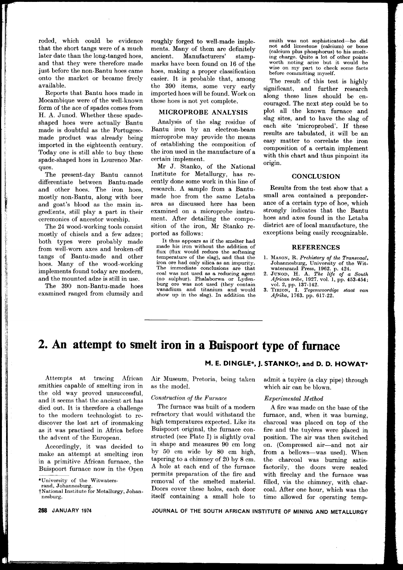roded, which could be evidence that the short tangs were of a much later date than the long-tanged hoes, and that they were therefore made just before the non-Bantu hoes came onto the market or became freely available.

Reports that Bantu hoes made in Mocambique were of the well-known form of the ace of spades comes from H. A. Junod. Whether these spadeshaped hoes were actually Bantu made is doubtful as the Portugesemade product was already being imported in the eighteenth century. Today one is still able to buy these spade-shaped hoes in Lourenco Marques.

The present-day Bantu cannot differentiate between Bantu-made and other hoes. The iron hoes, mostly non-Bantu, along with beer and goat's blood as the main ingredients, still play a part in their ceremonies of ancestor worship.

The 24 wood-working tools consist mostly of chisels and a few adzes; both types were probably made from well-worn axes and broken-off tangs of Bantu-made and other hoes. Many of the wood-working implements found today are modern, and the mounted adze is still in use.

The 390 non-Bantu-made hoes examined ranged from clumsily and roughly forged to well-made implements. Many of them are definitely ancient. Manufacturers' stampmarks have been found on 16 of the hoes, making a proper classification easier. It is probable that, among the 390 items, some very early imported hoes will be found. Work on these hoes is not yet complete.

## MICROPROBE ANALYSIS

Analysis of the slag residue of Bantu iron by an electron-beam microprobe may provide the means of establishing the composition of the iron used in the manufacture of a certain implement.

Mr J. Stanko, of the National Institute for Metallurgy, has recently done some work in this line of research. A sample from a Bantumade hoe from the same Letaba area as discussed here has been examined on a microprobe instrument. After detailing the composition of the iron, Mr Stanko reported as follows:

It thus appears as if the smelter had made his iron without the addition of flux (flux would reduce the softening temperature of the slag), and that the iron ore had only silica as an impurity. The immediate conclusions are that coal was not used as a reducing agent (no sulphur). Phalaborwa or Lydenburg ore was not used (they contain vanadium and titanium and would show up in the slag). In addition the smith was not sophisticated-he did not add limestone (calcium) or bone (calcium plus phosphorus) to his smelting charge. Quite a lot of other points worth noting arise but it would be wise on my part to check some facts before committing myself.

The result of this test is highly significant, and further research along these lines should be encouraged. The next step could be to plot all the known furnace and slag sites, and to have the slag of each site 'microprobed'. If these results are tabulated, it will be an easy matter to correlate the iron composition of a certain implement with this chart and thus pinpoint its origin.

#### **CONCLUSION**

Results from the test show that a small area contained a preponderance of a certain type of hoe, which strongly indicates that the Bantu hoes and axes found in the Letaba district are of local manufacture, the exceptions being easily recognizable.

#### **REFERENCES**

- 1. MASON, R. *Prehistory of the Transvaal,* Johannesburg, University of the Wit-
- watersrand Press, 1962. p. 424. 2. JUNOD, H. A. *The life of a South African tribe,* 1927. vo!. 1, pp. 453-454;
- vo!. 2, pp. 137-142. 3. TIRION, 1. *Tegenwoordige staat van Afrika,* 1763. pp. 617-22.

# **2. An attempt to smelt iron in a Buispoort type of furnace**

Attempts at tracing African smithies capable of smelting iron in the old way proved unsuccessful, and it seems that the ancient art has died out. It is therefore a challenge to the modern technologist to rediscover the lost art of ironmaking as it was practised in Africa before the advent of the European.

Accordingly, it was decided to make an attempt at smelting iron in a primitive African furnace, the Buispoort furnace now in the Open Air Museum, Pretoria, being taken as the model.

#### *Construction of the Furnace*

The furnace was built of a modern refractory that would withstand the high temperatures expected. Like its Buispoort original, the furnace constructed (see Plate I) is slightly oval in shape and measures 90 cm long by 50 cm wide by 80 cm high, tapering to a chimney of 20 by 8 cm. A hole at each end of the furnace permits preparation of the fire and removal of the smelted material. Doors cover these holes, each door itself containing a small hole to

admit a tuyere (a clay pipe) through which air can be blown.

#### *Experimental Method*

**M. E. DINGLE\*. j. STANKOt. and D. D. HOWAT\***

A fire was made on the base of the furnace, and, when it was burning, charcoal was placed on top of the fire and the tuyeres were placed in position. The air was then switched on. (Compressed air-and not air from a bellows-was used). When the charcoal was burning satisfactorily, the doors were sealed with fireclay and the furnace was filled, via the chimney, with charcoal. After one hour, which was the time allowed for operating temp-

<sup>\*</sup>University of the Witwaters-

rand, Johannesburg.

tNational Institute for Metallurgy, Johannesburg.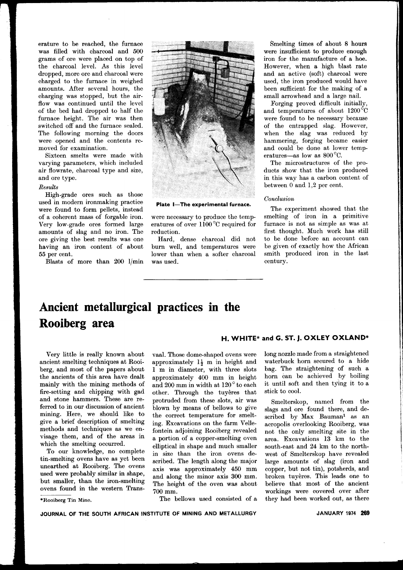erature to be reached, the furnace was filled with charcoal and 500 grams of ore were placed on top of the charcoal level. As this level dropped, more ore and charcoal were charged to the furnace in weighed amounts. After several hours, the charging was stopped, but the airflow was continued until the level of the bed had dropped to half the furnace height. The air was then switched off and the furnace sealed. The following morning the doors were opened and the contents removed for examination.

Sixteen smelts were made with varying parameters, which included air flowrate, charcoal type and size, and ore type.

#### *Results*

High-grade ores such as those used in modern ironmaking practice were found to form pellets, instead of a coherent mass of forgable iron. Very low-grade ores formed large amounts of slag and no iron. The ore giving the best results was one having an iron content of about 55 per cent.

Blasts of more than 200 l/min



**Plate I-The experimental furnace.**

were necessary to produce the temperatures of over 1l00°C required for reduction.

Hard, dense charcoal did not burn well, and temperatures were lower than when a softer charcoal was used.

Smelting times of about 8 hours were insufficient to produce enough iron for the manufacture of a hoe. However, when a high blast rate and an active (soft) charcoal were used, the iron produced would have been sufficient for the making of a small arrowhead and a large nail.

Forging proved difficult initially, and temperatures of about I200°C were found to be necessary because of the entrapped slag. However, when the slag was reduced by hammering, forging became easier and could be done at lower temperatures-as low as 800 °C.

The microstructures of the products show that the iron produced in this way has a carbon content of between 0 and 1,2 per cent.

#### *Conclusion*

The experiment showed that the smelting of iron in a primitive furnace is not as simple as was at first thought. Much work has still to be done before an account can be given of exactly how the African smith produced iron in the last century.

# **Ancient metallurgical practices in the Rooiberg area**

Very little is really known about ancient smelting techniques at Rooiberg, and most of the papers about the ancients of this area have dealt mainly with the mining methods of fire-setting and chipping with gad and stone hammers. These are referred to in our discussion of ancient mining. Here, we should like to give a brief description of smelting methods and techniques as we envisage them, and of the areas in which the smelting occurred.

To our knowledge, no complete tin-smelting ovens have as yet been unearthed at Rooiberg. The ovens used were probably similar in shape, but smaller, than the iron-smelting ovens found in the western Trans-

\*Rooiberg Tin Mine.

vaal. Those dome-shaped ovens were approximately  $1\frac{1}{2}$  m in height and 1 m in diameter, with three slots approximately 400 mm in height and 200 mm in width at 120 ° to each other. Through the tuyères that protruded from these slots, air was blown by means of bellows to give the correct temperature for smelting. Excavations on the farm Vellefontein adjoining Rooiberg revealed a portion of a copper-smelting oven elliptical in shape and much smaller in size than the iron ovens described. The length along the major axis was approximately 450 mm and along the minor axis 300 mm. The height of the oven was about 700 mm.

The bellows used consisted of a

## **H. WHITE\* and G. ST. j. OXLEY OXLAND\***

long nozzle made from a straightened waterbuck horn secured to a hide bag. The straightening of such a horn can be achieved by boiling it until soft and then tying it to a stick to cool.

Smelterskop, named from the slags and ore found there, and described by Max Bauman<sup>1</sup> as an acropolis overlooking Rooiberg, was not the only smelting site in the area. Excavations 13 km to the south-east and 24 km to the northwest of Smelterskop have revealed large amounts of slag (iron and copper, but not tin), potsherds, and broken tuyeres. This leads one to believe that most of the ancient workings were covered over after they had been worked out, as there

**JOURNAL OF THE SOUTH AFRICAN INSTITUTE OF MINING AND METALLURGY**